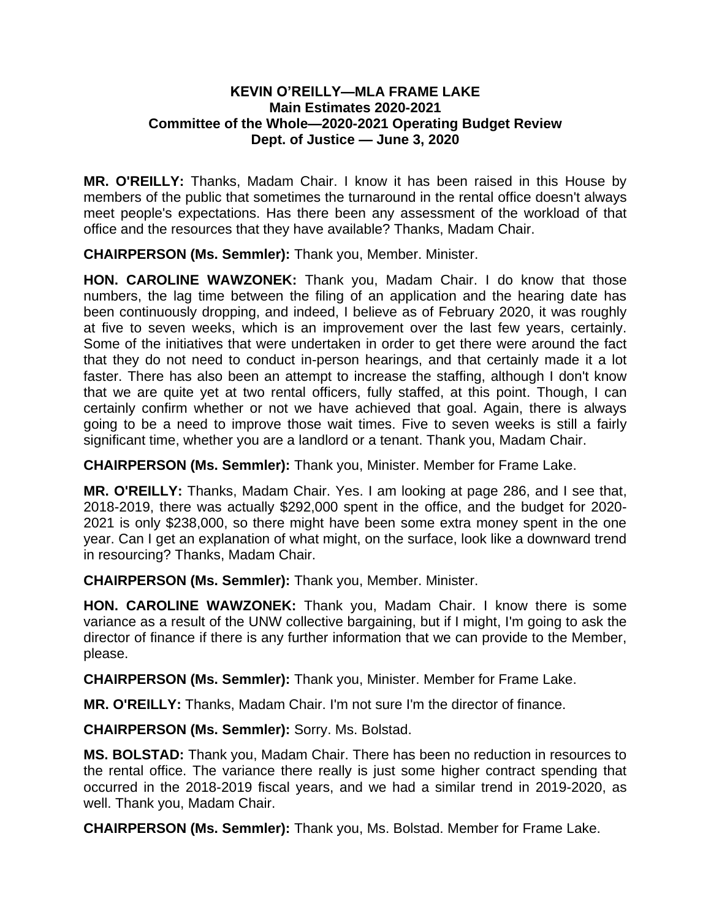## **KEVIN O'REILLY—MLA FRAME LAKE Main Estimates 2020-2021 Committee of the Whole—2020-2021 Operating Budget Review Dept. of Justice — June 3, 2020**

**MR. O'REILLY:** Thanks, Madam Chair. I know it has been raised in this House by members of the public that sometimes the turnaround in the rental office doesn't always meet people's expectations. Has there been any assessment of the workload of that office and the resources that they have available? Thanks, Madam Chair.

**CHAIRPERSON (Ms. Semmler):** Thank you, Member. Minister.

**HON. CAROLINE WAWZONEK:** Thank you, Madam Chair. I do know that those numbers, the lag time between the filing of an application and the hearing date has been continuously dropping, and indeed, I believe as of February 2020, it was roughly at five to seven weeks, which is an improvement over the last few years, certainly. Some of the initiatives that were undertaken in order to get there were around the fact that they do not need to conduct in-person hearings, and that certainly made it a lot faster. There has also been an attempt to increase the staffing, although I don't know that we are quite yet at two rental officers, fully staffed, at this point. Though, I can certainly confirm whether or not we have achieved that goal. Again, there is always going to be a need to improve those wait times. Five to seven weeks is still a fairly significant time, whether you are a landlord or a tenant. Thank you, Madam Chair.

**CHAIRPERSON (Ms. Semmler):** Thank you, Minister. Member for Frame Lake.

**MR. O'REILLY:** Thanks, Madam Chair. Yes. I am looking at page 286, and I see that, 2018-2019, there was actually \$292,000 spent in the office, and the budget for 2020- 2021 is only \$238,000, so there might have been some extra money spent in the one year. Can I get an explanation of what might, on the surface, look like a downward trend in resourcing? Thanks, Madam Chair.

**CHAIRPERSON (Ms. Semmler):** Thank you, Member. Minister.

**HON. CAROLINE WAWZONEK:** Thank you, Madam Chair. I know there is some variance as a result of the UNW collective bargaining, but if I might, I'm going to ask the director of finance if there is any further information that we can provide to the Member, please.

**CHAIRPERSON (Ms. Semmler):** Thank you, Minister. Member for Frame Lake.

**MR. O'REILLY:** Thanks, Madam Chair. I'm not sure I'm the director of finance.

**CHAIRPERSON (Ms. Semmler):** Sorry. Ms. Bolstad.

**MS. BOLSTAD:** Thank you, Madam Chair. There has been no reduction in resources to the rental office. The variance there really is just some higher contract spending that occurred in the 2018-2019 fiscal years, and we had a similar trend in 2019-2020, as well. Thank you, Madam Chair.

**CHAIRPERSON (Ms. Semmler):** Thank you, Ms. Bolstad. Member for Frame Lake.